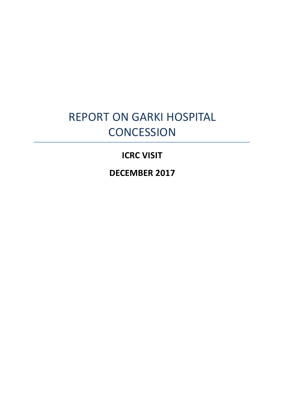# REPORT ON GARKI HOSPITAL **CONCESSION**

# **ICRC VISIT**

**DECEMBER 2017**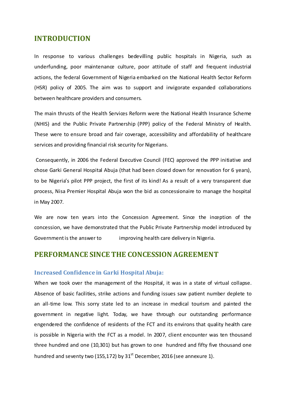### **INTRODUCTION**

In response to various challenges bedevilling public hospitals in Nigeria, such as underfunding, poor maintenance culture, poor attitude of staff and frequent industrial actions, the federal Government of Nigeria embarked on the National Health Sector Reform (HSR) policy of 2005. The aim was to support and invigorate expanded collaborations between healthcare providers and consumers.

The main thrusts of the Health Services Reform were the National Health Insurance Scheme (NHIS) and the Public Private Partnership (PPP) policy of the Federal Ministry of Health. These were to ensure broad and fair coverage, accessibility and affordability of healthcare services and providing financial risk security for Nigerians.

Consequently, in 2006 the Federal Executive Council (FEC) approved the PPP initiative and chose Garki General Hospital Abuja (that had been closed down for renovation for 6 years), to be Nigeria's pilot PPP project, the first of its kind! As a result of a very transparent due process, Nisa Premier Hospital Abuja won the bid as concessionaire to manage the hospital in May 2007.

We are now ten years into the Concession Agreement. Since the inception of the concession, we have demonstrated that the Public Private Partnership model introduced by Government is the answer to improving health care delivery in Nigeria.

## **PERFORMANCE SINCE THE CONCESSION AGREEMENT**

#### **Increased Confidence in Garki Hospital Abuja:**

When we took over the management of the Hospital, it was in a state of virtual collapse. Absence of basic facilities, strike actions and funding issues saw patient number deplete to an all-time low. This sorry state led to an increase in medical tourism and painted the government in negative light. Today, we have through our outstanding performance engendered the confidence of residents of the FCT and its environs that quality health care is possible in Nigeria with the FCT as a model. In 2007, client encounter was ten thousand three hundred and one (10,301) but has grown to one hundred and fifty five thousand one hundred and seventy two (155,172) by  $31<sup>st</sup>$  December, 2016 (see annexure 1).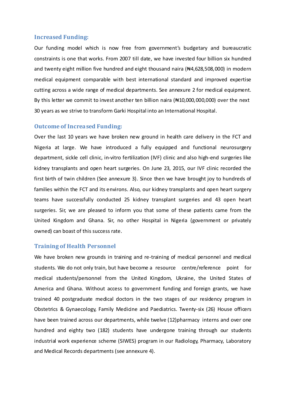#### **Increased Funding:**

Our funding model which is now free from government's budgetary and bureaucratic constraints is one that works. From 2007 till date, we have invested four billion six hundred and twenty eight million five hundred and eight thousand naira  $(*4.628,508,000)$  in modern medical equipment comparable with best international standard and improved expertise cutting across a wide range of medical departments. See annexure 2 for medical equipment. By this letter we commit to invest another ten billion naira (#10,000,000,000) over the next 30 years as we strive to transform Garki Hospital into an International Hospital.

#### **Outcome of Increased Funding:**

Over the last 10 years we have broken new ground in health care delivery in the FCT and Nigeria at large. We have introduced a fully equipped and functional neurosurgery department, sickle cell clinic, in-vitro fertilization (IVF) clinic and also high-end surgeries like kidney transplants and open heart surgeries. On June 23, 2015, our IVF clinic recorded the first birth of twin children (See annexure 3). Since then we have brought joy to hundreds of families within the FCT and its environs. Also, our kidney transplants and open heart surgery teams have successfully conducted 25 kidney transplant surgeries and 43 open heart surgeries. Sir, we are pleased to inform you that some of these patients came from the United Kingdom and Ghana. Sir, no other Hospital in Nigeria (government or privately owned) can boast of this success rate.

#### **Training of Health Personnel**

We have broken new grounds in training and re-training of medical personnel and medical students. We do not only train, but have become a resource centre/reference point for medical students/personnel from the United Kingdom, Ukraine, the United States of America and Ghana. Without access to government funding and foreign grants, we have trained 40 postgraduate medical doctors in the two stages of our residency program in Obstetrics & Gynaecology, Family Medicine and Paediatrics. Twenty-six (26) House officers have been trained across our departments, while twelve (12)pharmacy interns and over one hundred and eighty two (182) students have undergone training through our students industrial work experience scheme (SIWES) program in our Radiology, Pharmacy, Laboratory and Medical Records departments (see annexure 4).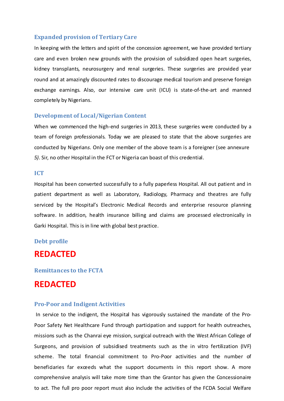#### **Expanded provision of Tertiary Care**

In keeping with the letters and spirit of the concession agreement, we have provided tertiary care and even broken new grounds with the provision of subsidized open heart surgeries, kidney transplants, neurosurgery and renal surgeries. These surgeries are provided year round and at amazingly discounted rates to discourage medical tourism and preserve foreign exchange earnings. Also, our intensive care unit (ICU) is state-of-the-art and manned completely by Nigerians.

#### **Development of Local/Nigerian Content**

When we commenced the high-end surgeries in 2013, these surgeries were conducted by a team of foreign professionals. Today we are pleased to state that the above surgeries are conducted by Nigerian*s.* Only one member of the above team is a foreigner (see annexure *5).* Sir, no other Hospital in the FCT or Nigeria can boast of this credential.

#### **ICT**

Hospital has been converted successfully to a fully paperless Hospital. All out patient and in patient department as well as Laboratory, Radiology, Pharmacy and theatres are fully serviced by the Hospital's Electronic Medical Records and enterprise resource planning software. In addition, health insurance billing and claims are processed electronically in Garki Hospital. This is in line with global best practice.

#### **Debt profile**

# **REDACTED**

#### **Remittances to the FCTA**

# **REDACTED**

#### **Pro-Poor and Indigent Activities**

In service to the indigent, the Hospital has vigorously sustained the mandate of the Pro-Poor Safety Net Healthcare Fund through participation and support for health outreaches, missions such as the Chanrai eye mission, surgical outreach with the West African College of Surgeons, and provision of subsidised treatments such as the in vitro fertilization (IVF) scheme. The total financial commitment to Pro-Poor activities and the number of beneficiaries far exceeds what the support documents in this report show. A more comprehensive analysis will take more time than the Grantor has given the Concessionaire to act. The full pro poor report must also include the activities of the FCDA Social Welfare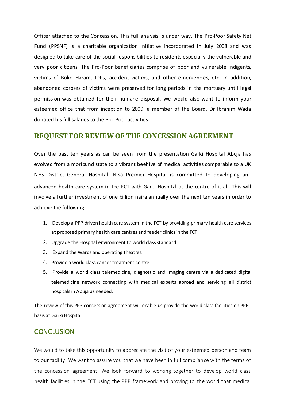Officer attached to the Concession. This full analysis is under way. The Pro-Poor Safety Net Fund (PPSNF) is a charitable organization initiative incorporated in July 2008 and was designed to take care of the social responsibilities to residents especially the vulnerable and very poor citizens. The Pro-Poor beneficiaries comprise of poor and vulnerable indigents, victims of Boko Haram, IDPs, accident victims, and other emergencies, etc. In addition, abandoned corpses of victims were preserved for long periods in the mortuary until legal permission was obtained for their humane disposal. We would also want to inform your esteemed office that from inception to 2009, a member of the Board, Dr Ibrahim Wada donated his full salaries to the Pro-Poor activities.

### **REQUEST FOR REVIEWOF THE CONCESSION AGREEMENT**

Over the past ten years as can be seen from the presentation Garki Hospital Abuja has evolved from a moribund state to a vibrant beehive of medical activities comparable to a UK NHS District General Hospital. Nisa Premier Hospital is committed to developing an advanced health care system in the FCT with Garki Hospital at the centre of it all. This will involve a further investment of one billion naira annually over the next ten years in order to achieve the following:

- 1. Develop a PPP driven health care system in the FCT by providing primary health care services at proposed primary health care centres and feeder clinics in the FCT.
- 2. Upgrade the Hospital environment to world class standard
- 3. Expand the Wards and operating theatres.
- 4. Provide a world class cancer treatment centre
- 5. Provide a world class telemedicine, diagnostic and imaging centre via a dedicated digital telemedicine network connecting with medical experts abroad and servicing all district hospitals in Abuja as needed.

The review of this PPP concession agreement will enable us provide the world class facilities on PPP basis at Garki Hospital.

### **CONCLUSION**

We would to take this opportunity to appreciate the visit of your esteemed person and team to our facility. We want to assure you that we have been in full compliance with the terms of the concession agreement. We look forward to working together to develop world class health facilities in the FCT using the PPP framework and proving to the world that medical